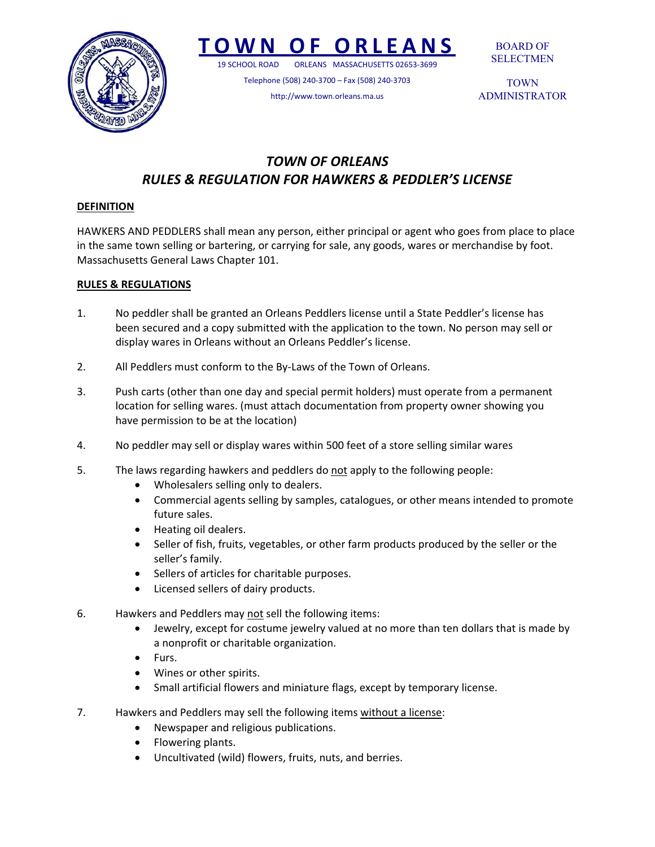

# **TOWN OF ORLEANS**

19 SCHOOL ROAD ORLEANS MASSACHUSETTS 02653‐3699

Telephone (508) 240‐3700 – Fax (508) 240‐3703 http://www.town.orleans.ma.us

BOARD OF SELECTMEN

TOWN ADMINISTRATOR

# *TOWN OF ORLEANS RULES & REGULATION FOR HAWKERS & PEDDLER'S LICENSE*

## **DEFINITION**

HAWKERS AND PEDDLERS shall mean any person, either principal or agent who goes from place to place in the same town selling or bartering, or carrying for sale, any goods, wares or merchandise by foot. Massachusetts General Laws Chapter 101.

## **RULES & REGULATIONS**

- 1. No peddler shall be granted an Orleans Peddlers license until a State Peddler's license has been secured and a copy submitted with the application to the town. No person may sell or display wares in Orleans without an Orleans Peddler's license.
- 2. All Peddlers must conform to the By-Laws of the Town of Orleans.
- 3. Push carts (other than one day and special permit holders) must operate from a permanent location for selling wares. (must attach documentation from property owner showing you have permission to be at the location)
- 4. No peddler may sell or display wares within 500 feet of a store selling similar wares
- 5. The laws regarding hawkers and peddlers do not apply to the following people:
	- Wholesalers selling only to dealers.
	- Commercial agents selling by samples, catalogues, or other means intended to promote future sales.
	- Heating oil dealers.
	- Seller of fish, fruits, vegetables, or other farm products produced by the seller or the seller's family.
	- Sellers of articles for charitable purposes.
	- Licensed sellers of dairy products.
- 6. Hawkers and Peddlers may not sell the following items:
	- Jewelry, except for costume jewelry valued at no more than ten dollars that is made by a nonprofit or charitable organization.
	- Furs.
	- Wines or other spirits.
	- Small artificial flowers and miniature flags, except by temporary license.
- 7. Hawkers and Peddlers may sell the following items without a license:
	- Newspaper and religious publications.
	- Flowering plants.
	- Uncultivated (wild) flowers, fruits, nuts, and berries.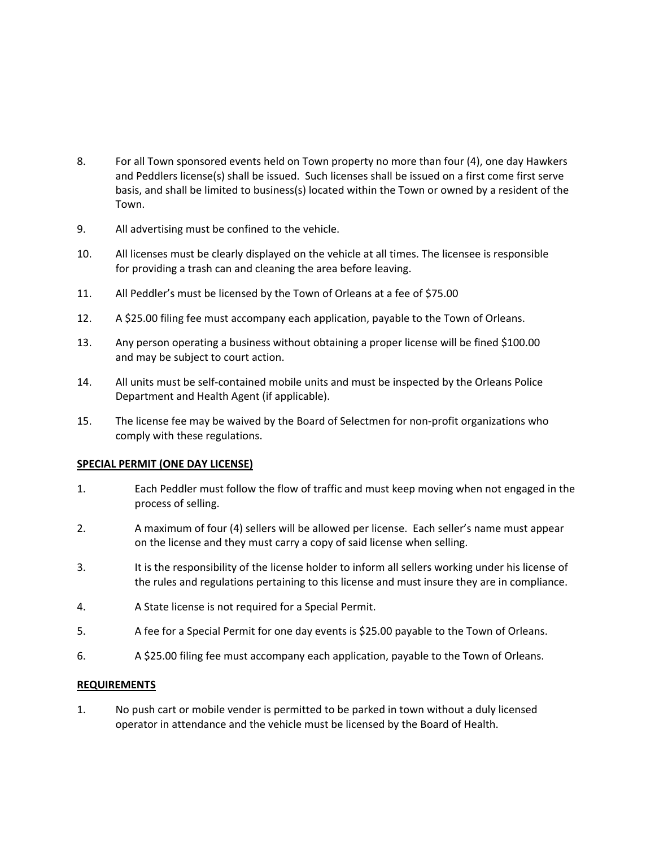- 8. For all Town sponsored events held on Town property no more than four (4), one day Hawkers and Peddlers license(s) shall be issued. Such licenses shall be issued on a first come first serve basis, and shall be limited to business(s) located within the Town or owned by a resident of the Town.
- 9. All advertising must be confined to the vehicle.
- 10. All licenses must be clearly displayed on the vehicle at all times. The licensee is responsible for providing a trash can and cleaning the area before leaving.
- 11. All Peddler's must be licensed by the Town of Orleans at a fee of \$75.00
- 12. A \$25.00 filing fee must accompany each application, payable to the Town of Orleans.
- 13. Any person operating a business without obtaining a proper license will be fined \$100.00 and may be subject to court action.
- 14. All units must be self-contained mobile units and must be inspected by the Orleans Police Department and Health Agent (if applicable).
- 15. The license fee may be waived by the Board of Selectmen for non-profit organizations who comply with these regulations.

#### **SPECIAL PERMIT (ONE DAY LICENSE)**

- 1. Each Peddler must follow the flow of traffic and must keep moving when not engaged in the process of selling.
- 2. A maximum of four (4) sellers will be allowed per license. Each seller's name must appear on the license and they must carry a copy of said license when selling.
- 3. It is the responsibility of the license holder to inform all sellers working under his license of the rules and regulations pertaining to this license and must insure they are in compliance.
- 4. A State license is not required for a Special Permit.
- 5. A fee for a Special Permit for one day events is \$25.00 payable to the Town of Orleans.
- 6. A \$25.00 filing fee must accompany each application, payable to the Town of Orleans.

#### **REQUIREMENTS**

1. No push cart or mobile vender is permitted to be parked in town without a duly licensed operator in attendance and the vehicle must be licensed by the Board of Health.